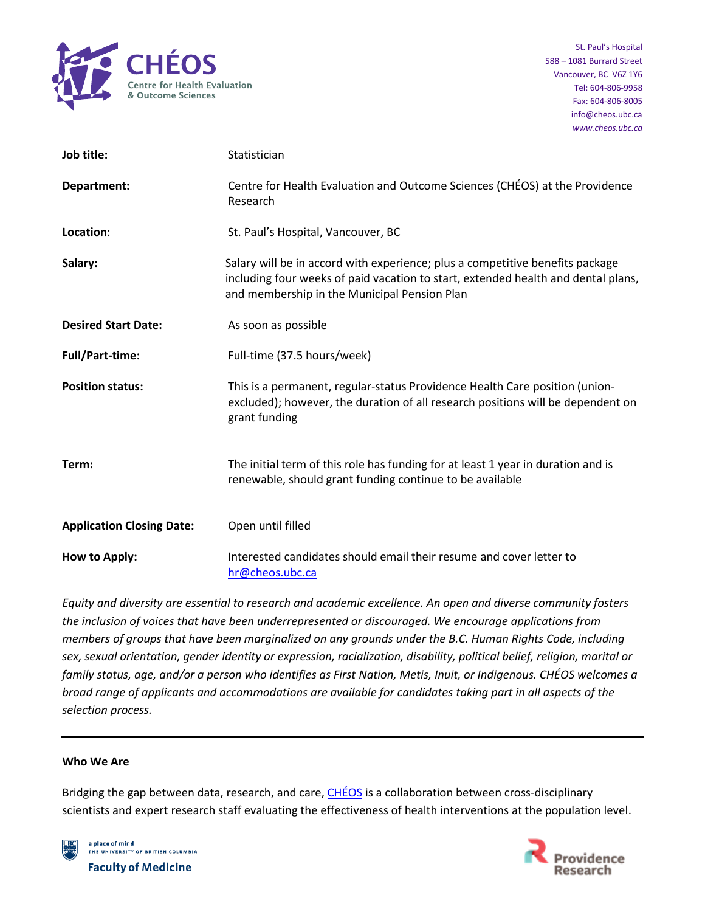

| Job title:                       | Statistician                                                                                                                                                                                                       |
|----------------------------------|--------------------------------------------------------------------------------------------------------------------------------------------------------------------------------------------------------------------|
| Department:                      | Centre for Health Evaluation and Outcome Sciences (CHÉOS) at the Providence<br>Research                                                                                                                            |
| Location:                        | St. Paul's Hospital, Vancouver, BC                                                                                                                                                                                 |
| Salary:                          | Salary will be in accord with experience; plus a competitive benefits package<br>including four weeks of paid vacation to start, extended health and dental plans,<br>and membership in the Municipal Pension Plan |
| <b>Desired Start Date:</b>       | As soon as possible                                                                                                                                                                                                |
| <b>Full/Part-time:</b>           | Full-time (37.5 hours/week)                                                                                                                                                                                        |
| <b>Position status:</b>          | This is a permanent, regular-status Providence Health Care position (union-<br>excluded); however, the duration of all research positions will be dependent on<br>grant funding                                    |
| Term:                            | The initial term of this role has funding for at least 1 year in duration and is<br>renewable, should grant funding continue to be available                                                                       |
| <b>Application Closing Date:</b> | Open until filled                                                                                                                                                                                                  |
| How to Apply:                    | Interested candidates should email their resume and cover letter to<br>hr@cheos.ubc.ca                                                                                                                             |

*Equity and diversity are essential to research and academic excellence. An open and diverse community fosters the inclusion of voices that have been underrepresented or discouraged. We encourage applications from members of groups that have been marginalized on any grounds under the B.C. Human Rights Code, including sex, sexual orientation, gender identity or expression, racialization, disability, political belief, religion, marital or family status, age, and/or a person who identifies as First Nation, Metis, Inuit, or Indigenous. CHÉOS welcomes a broad range of applicants and accommodations are available for candidates taking part in all aspects of the selection process.*

#### **Who We Are**

Bridging the gap between data, research, and care, [CHÉOS](https://www.cheos.ubc.ca/) is a collaboration between cross-disciplinary scientists and expert research staff evaluating the effectiveness of health interventions at the population level.



a place of mind THE UNIVERSITY OF BRITISH COLUMBIA **Faculty of Medicine** 

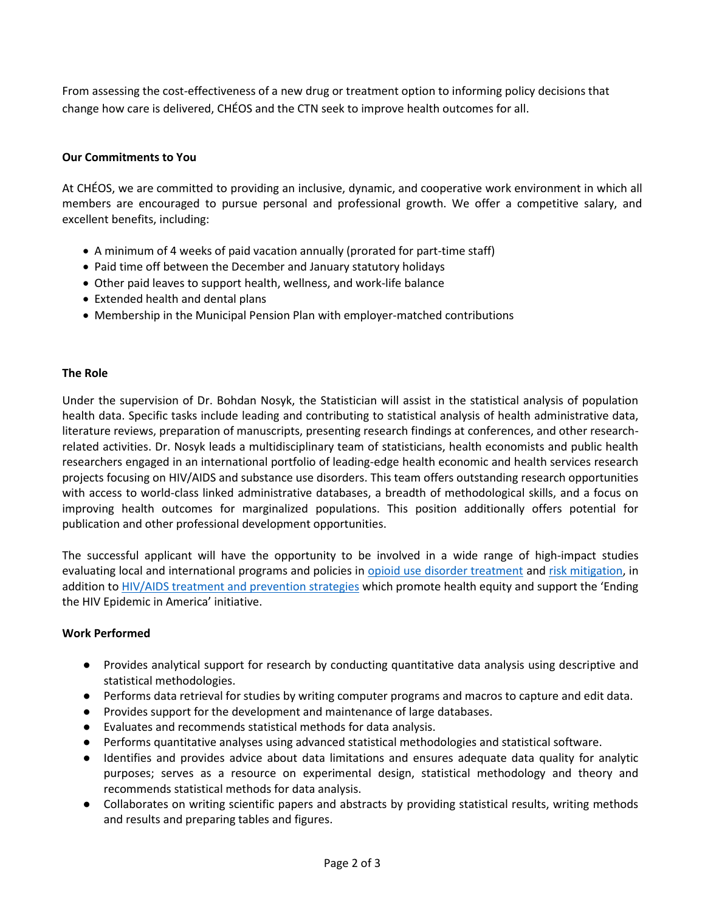From assessing the cost-effectiveness of a new drug or treatment option to informing policy decisions that change how care is delivered, CHÉOS and the CTN seek to improve health outcomes for all.

# **Our Commitments to You**

At CHÉOS, we are committed to providing an inclusive, dynamic, and cooperative work environment in which all members are encouraged to pursue personal and professional growth. We offer a competitive salary, and excellent benefits, including:

- A minimum of 4 weeks of paid vacation annually (prorated for part-time staff)
- Paid time off between the December and January statutory holidays
- Other paid leaves to support health, wellness, and work-life balance
- Extended health and dental plans
- Membership in the Municipal Pension Plan with employer-matched contributions

## **The Role**

Under the supervision of Dr. Bohdan Nosyk, the Statistician will assist in the statistical analysis of population health data. Specific tasks include leading and contributing to statistical analysis of health administrative data, literature reviews, preparation of manuscripts, presenting research findings at conferences, and other researchrelated activities. Dr. Nosyk leads a multidisciplinary team of statisticians, health economists and public health researchers engaged in an international portfolio of leading-edge health economic and health services research projects focusing on HIV/AIDS and substance use disorders. This team offers outstanding research opportunities with access to world-class linked administrative databases, a breadth of methodological skills, and a focus on improving health outcomes for marginalized populations. This position additionally offers potential for publication and other professional development opportunities.

The successful applicant will have the opportunity to be involved in a wide range of high-impact studies evaluating local and international programs and policies in [opioid use disorder treatment](https://bmjopen.bmj.com/content/10/9/e036102) an[d risk mitigation,](https://bmjopen.bmj.com/content/11/6/e048353) in addition t[o HIV/AIDS treatment and prevention strategies](https://www.thelancet.com/journals/lanhiv/article/PIIS2352-3018(21)00147-8/ppt) which promote health equity and support the 'Ending the HIV Epidemic in America' initiative.

#### **Work Performed**

- Provides analytical support for research by conducting quantitative data analysis using descriptive and statistical methodologies.
- Performs data retrieval for studies by writing computer programs and macros to capture and edit data.
- Provides support for the development and maintenance of large databases.
- Evaluates and recommends statistical methods for data analysis.
- Performs quantitative analyses using advanced statistical methodologies and statistical software.
- Identifies and provides advice about data limitations and ensures adequate data quality for analytic purposes; serves as a resource on experimental design, statistical methodology and theory and recommends statistical methods for data analysis.
- Collaborates on writing scientific papers and abstracts by providing statistical results, writing methods and results and preparing tables and figures.